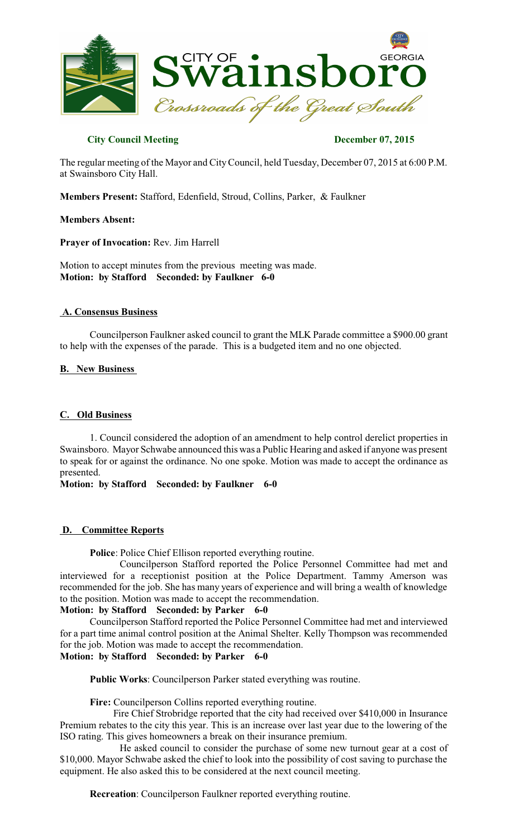

# **City Council Meeting December 07, 2015**

The regular meeting of the Mayor and CityCouncil, held Tuesday, December 07, 2015 at 6:00 P.M. at Swainsboro City Hall.

**Members Present:** Stafford, Edenfield, Stroud, Collins, Parker, & Faulkner

#### **Members Absent:**

**Prayer of Invocation:** Rev. Jim Harrell

Motion to accept minutes from the previous meeting was made. **Motion: by Stafford Seconded: by Faulkner 6-0** 

#### **A. Consensus Business**

Councilperson Faulkner asked council to grant the MLK Parade committee a \$900.00 grant to help with the expenses of the parade. This is a budgeted item and no one objected.

#### **B. New Business**

#### **C. Old Business**

1. Council considered the adoption of an amendment to help control derelict properties in Swainsboro. Mayor Schwabe announced this was a Public Hearing and asked if anyone was present to speak for or against the ordinance. No one spoke. Motion was made to accept the ordinance as presented.

**Motion: by Stafford Seconded: by Faulkner 6-0**

## **D. Committee Reports**

**Police**: Police Chief Ellison reported everything routine.

Councilperson Stafford reported the Police Personnel Committee had met and interviewed for a receptionist position at the Police Department. Tammy Amerson was recommended for the job. She has many years of experience and will bring a wealth of knowledge to the position. Motion was made to accept the recommendation.

### **Motion: by Stafford Seconded: by Parker 6-0**

Councilperson Stafford reported the Police Personnel Committee had met and interviewed for a part time animal control position at the Animal Shelter. Kelly Thompson was recommended for the job. Motion was made to accept the recommendation.

# **Motion: by Stafford Seconded: by Parker 6-0**

**Public Works**: Councilperson Parker stated everything was routine.

**Fire:** Councilperson Collins reported everything routine.

 Fire Chief Strobridge reported that the city had received over \$410,000 in Insurance Premium rebates to the city this year. This is an increase over last year due to the lowering of the ISO rating. This gives homeowners a break on their insurance premium.

He asked council to consider the purchase of some new turnout gear at a cost of \$10,000. Mayor Schwabe asked the chief to look into the possibility of cost saving to purchase the equipment. He also asked this to be considered at the next council meeting.

**Recreation**: Councilperson Faulkner reported everything routine.